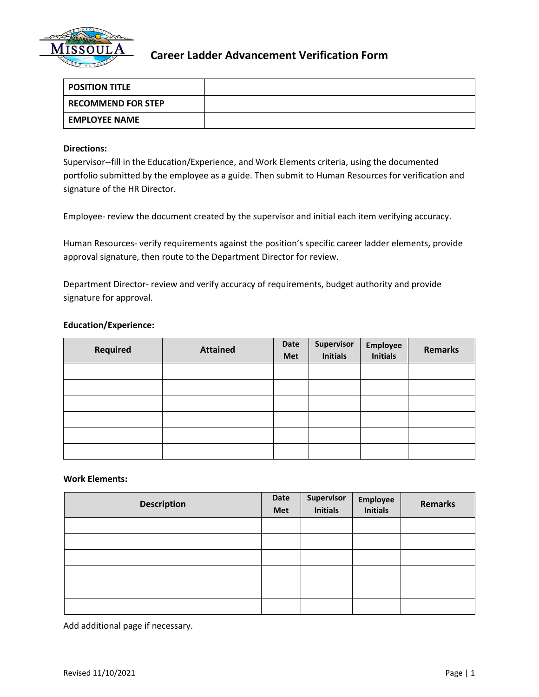

# **Career Ladder Advancement Verification Form**

| <b>POSITION TITLE</b>     |  |
|---------------------------|--|
| <b>RECOMMEND FOR STEP</b> |  |
| <b>EMPLOYEE NAME</b>      |  |

### **Directions:**

Supervisor--fill in the Education/Experience, and Work Elements criteria, using the documented portfolio submitted by the employee as a guide. Then submit to Human Resources for verification and signature of the HR Director.

Employee- review the document created by the supervisor and initial each item verifying accuracy.

Human Resources- verify requirements against the position's specific career ladder elements, provide approval signature, then route to the Department Director for review.

Department Director- review and verify accuracy of requirements, budget authority and provide signature for approval.

## **Education/Experience:**

| <b>Required</b> | <b>Attained</b> | Date<br>Met | Supervisor<br><b>Initials</b> | Employee<br>Initials | <b>Remarks</b> |
|-----------------|-----------------|-------------|-------------------------------|----------------------|----------------|
|                 |                 |             |                               |                      |                |
|                 |                 |             |                               |                      |                |
|                 |                 |             |                               |                      |                |
|                 |                 |             |                               |                      |                |
|                 |                 |             |                               |                      |                |
|                 |                 |             |                               |                      |                |

#### **Work Elements:**

| <b>Description</b> | Date<br>Met | Supervisor<br>Initials | Employee<br>Initials | <b>Remarks</b> |
|--------------------|-------------|------------------------|----------------------|----------------|
|                    |             |                        |                      |                |
|                    |             |                        |                      |                |
|                    |             |                        |                      |                |
|                    |             |                        |                      |                |
|                    |             |                        |                      |                |
|                    |             |                        |                      |                |

Add additional page if necessary.